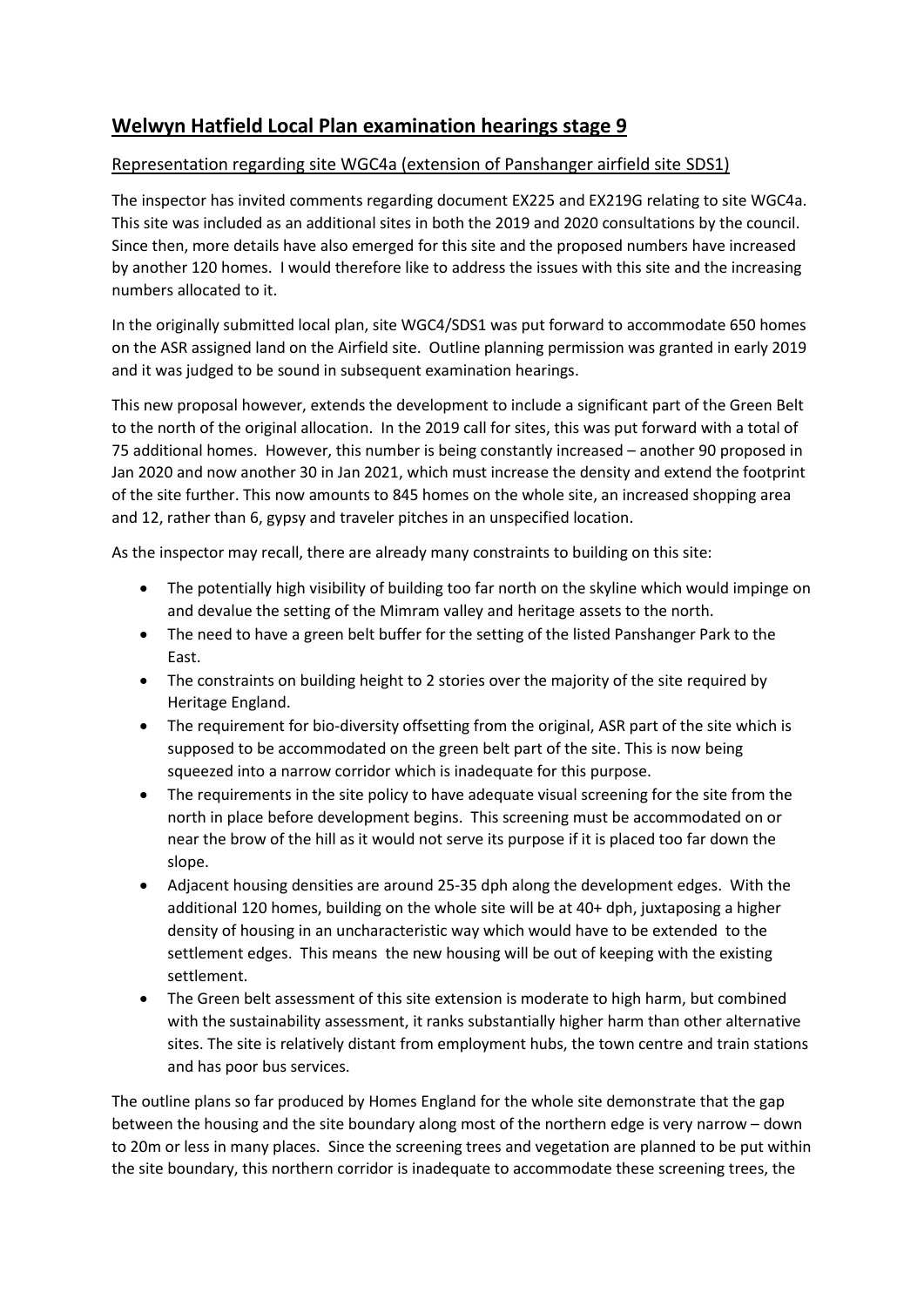## **Welwyn Hatfield Local Plan examination hearings stage 9**

## Representation regarding site WGC4a (extension of Panshanger airfield site SDS1)

The inspector has invited comments regarding document EX225 and EX219G relating to site WGC4a. This site was included as an additional sites in both the 2019 and 2020 consultations by the council. Since then, more details have also emerged for this site and the proposed numbers have increased by another 120 homes. I would therefore like to address the issues with this site and the increasing numbers allocated to it.

In the originally submitted local plan, site WGC4/SDS1 was put forward to accommodate 650 homes on the ASR assigned land on the Airfield site. Outline planning permission was granted in early 2019 and it was judged to be sound in subsequent examination hearings.

This new proposal however, extends the development to include a significant part of the Green Belt to the north of the original allocation. In the 2019 call for sites, this was put forward with a total of 75 additional homes. However, this number is being constantly increased – another 90 proposed in Jan 2020 and now another 30 in Jan 2021, which must increase the density and extend the footprint of the site further. This now amounts to 845 homes on the whole site, an increased shopping area and 12, rather than 6, gypsy and traveler pitches in an unspecified location.

As the inspector may recall, there are already many constraints to building on this site:

- The potentially high visibility of building too far north on the skyline which would impinge on and devalue the setting of the Mimram valley and heritage assets to the north.
- The need to have a green belt buffer for the setting of the listed Panshanger Park to the East.
- The constraints on building height to 2 stories over the majority of the site required by Heritage England.
- The requirement for bio-diversity offsetting from the original, ASR part of the site which is supposed to be accommodated on the green belt part of the site. This is now being squeezed into a narrow corridor which is inadequate for this purpose.
- The requirements in the site policy to have adequate visual screening for the site from the north in place before development begins. This screening must be accommodated on or near the brow of the hill as it would not serve its purpose if it is placed too far down the slope.
- Adjacent housing densities are around 25-35 dph along the development edges. With the additional 120 homes, building on the whole site will be at 40+ dph, juxtaposing a higher density of housing in an uncharacteristic way which would have to be extended to the settlement edges. This means the new housing will be out of keeping with the existing settlement.
- The Green belt assessment of this site extension is moderate to high harm, but combined with the sustainability assessment, it ranks substantially higher harm than other alternative sites. The site is relatively distant from employment hubs, the town centre and train stations and has poor bus services.

The outline plans so far produced by Homes England for the whole site demonstrate that the gap between the housing and the site boundary along most of the northern edge is very narrow – down to 20m or less in many places. Since the screening trees and vegetation are planned to be put within the site boundary, this northern corridor is inadequate to accommodate these screening trees, the